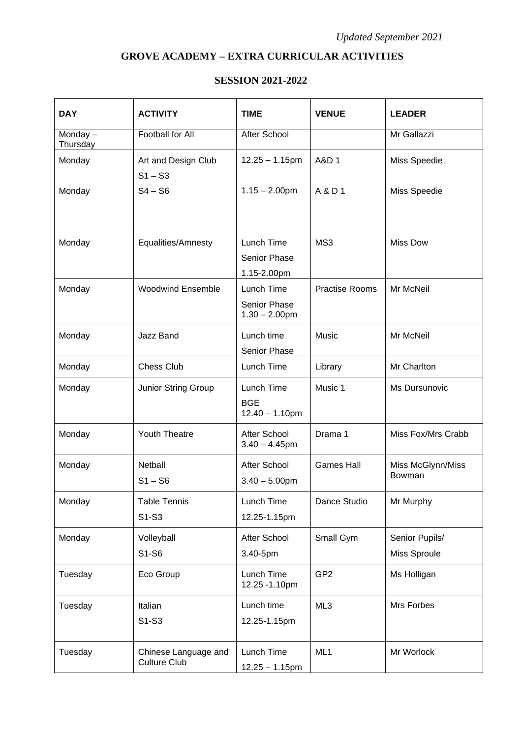## **GROVE ACADEMY – EXTRA CURRICULAR ACTIVITIES**

## **SESSION 2021-2022**

| <b>DAY</b>          | <b>ACTIVITY</b>                             | <b>TIME</b>                                    | <b>VENUE</b>          | <b>LEADER</b>                  |
|---------------------|---------------------------------------------|------------------------------------------------|-----------------------|--------------------------------|
| Monday-<br>Thursday | <b>Football for All</b>                     | After School                                   |                       | Mr Gallazzi                    |
| Monday              | Art and Design Club<br>$S1 - S3$            | $12.25 - 1.15$ pm                              | A&D 1                 | Miss Speedie                   |
| Monday              | $S4 - S6$                                   | $1.15 - 2.00$ pm                               | A & D 1               | Miss Speedie                   |
| Monday              | Equalities/Amnesty                          | Lunch Time<br>Senior Phase<br>1.15-2.00pm      | MS3                   | <b>Miss Dow</b>                |
| Monday              | <b>Woodwind Ensemble</b>                    | Lunch Time<br>Senior Phase<br>$1.30 - 2.00$ pm | <b>Practise Rooms</b> | Mr McNeil                      |
| Monday              | Jazz Band                                   | Lunch time<br>Senior Phase                     | Music                 | Mr McNeil                      |
| Monday              | <b>Chess Club</b>                           | Lunch Time                                     | Library               | Mr Charlton                    |
| Monday              | Junior String Group                         | Lunch Time<br><b>BGE</b><br>$12.40 - 1.10$ pm  | Music 1               | Ms Dursunovic                  |
| Monday              | Youth Theatre                               | After School<br>$3.40 - 4.45$ pm               | Drama 1               | Miss Fox/Mrs Crabb             |
| Monday              | Netball<br>$S1 - S6$                        | After School<br>$3.40 - 5.00$ pm               | <b>Games Hall</b>     | Miss McGlynn/Miss<br>Bowman    |
| Monday              | <b>Table Tennis</b><br>S1-S3                | Lunch Time<br>12.25-1.15pm                     | Dance Studio          | Mr Murphy                      |
| Monday              | Volleyball<br>S1-S6                         | After School<br>3.40-5pm                       | Small Gym             | Senior Pupils/<br>Miss Sproule |
| Tuesday             | Eco Group                                   | Lunch Time<br>12.25 - 1.10pm                   | GP <sub>2</sub>       | Ms Holligan                    |
| Tuesday             | Italian<br>S1-S3                            | Lunch time<br>12.25-1.15pm                     | ML3                   | Mrs Forbes                     |
| Tuesday             | Chinese Language and<br><b>Culture Club</b> | Lunch Time<br>$12.25 - 1.15$ pm                | ML1                   | Mr Worlock                     |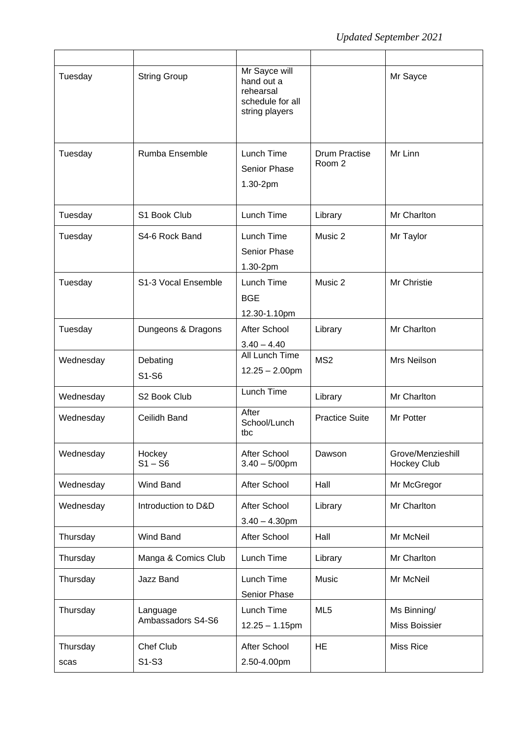| Tuesday          | <b>String Group</b>           | Mr Sayce will<br>hand out a<br>rehearsal<br>schedule for all<br>string players |                                | Mr Sayce                                |
|------------------|-------------------------------|--------------------------------------------------------------------------------|--------------------------------|-----------------------------------------|
| Tuesday          | Rumba Ensemble                | Lunch Time<br><b>Senior Phase</b><br>1.30-2pm                                  | <b>Drum Practise</b><br>Room 2 | Mr Linn                                 |
| Tuesday          | S1 Book Club                  | Lunch Time                                                                     | Library                        | Mr Charlton                             |
| Tuesday          | S4-6 Rock Band                | Lunch Time<br>Senior Phase<br>1.30-2pm                                         | Music 2                        | Mr Taylor                               |
| Tuesday          | S1-3 Vocal Ensemble           | Lunch Time<br><b>BGE</b><br>12.30-1.10pm                                       | Music 2                        | Mr Christie                             |
| Tuesday          | Dungeons & Dragons            | After School<br>$3.40 - 4.40$                                                  | Library                        | Mr Charlton                             |
| Wednesday        | Debating<br>S1-S6             | <b>All Lunch Time</b><br>$12.25 - 2.00$ pm                                     | MS <sub>2</sub>                | Mrs Neilson                             |
| Wednesday        | S2 Book Club                  | Lunch Time                                                                     | Library                        | Mr Charlton                             |
| Wednesday        | Ceilidh Band                  | After<br>School/Lunch<br>tbc                                                   | <b>Practice Suite</b>          | Mr Potter                               |
| Wednesday        | Hockey<br>$S1 - S6$           | After School<br>$3.40 - 5/00$ pm                                               | Dawson                         | Grove/Menzieshill<br><b>Hockey Club</b> |
| Wednesday        | Wind Band                     | After School                                                                   | Hall                           | Mr McGregor                             |
| Wednesday        | Introduction to D&D           | After School<br>$3.40 - 4.30$ pm                                               | Library                        | Mr Charlton                             |
| Thursday         | Wind Band                     | After School                                                                   | Hall                           | Mr McNeil                               |
| Thursday         | Manga & Comics Club           | Lunch Time                                                                     | Library                        | Mr Charlton                             |
| Thursday         | Jazz Band                     | Lunch Time<br>Senior Phase                                                     | Music                          | Mr McNeil                               |
| Thursday         | Language<br>Ambassadors S4-S6 | Lunch Time<br>$12.25 - 1.15$ pm                                                | ML <sub>5</sub>                | Ms Binning/<br>Miss Boissier            |
| Thursday<br>scas | Chef Club<br>S1-S3            | After School<br>2.50-4.00pm                                                    | <b>HE</b>                      | <b>Miss Rice</b>                        |
|                  |                               |                                                                                |                                |                                         |